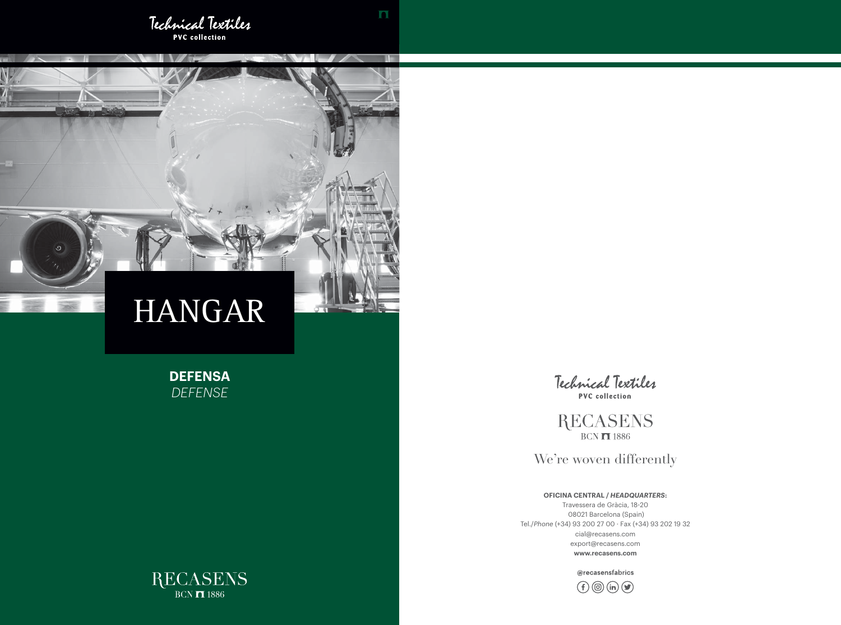

**TIME** 

## **OFICINA CENTRAL /** *HEADQUARTERS***:**

Travessera de Gràcia, 18-20 08021 Barcelona (Spain) Tel./*Phone* (+34) 93 200 27 00 · Fax (+34) 93 202 19 32 cial@recasens.com export@recasens.com **www.recasens.com**

@recasensfabrics





**DEFENSA** *DEFENSE*



**RECASENS**  $BCN$   $\overline{1}$  1886

We're woven differently

# HANGAR